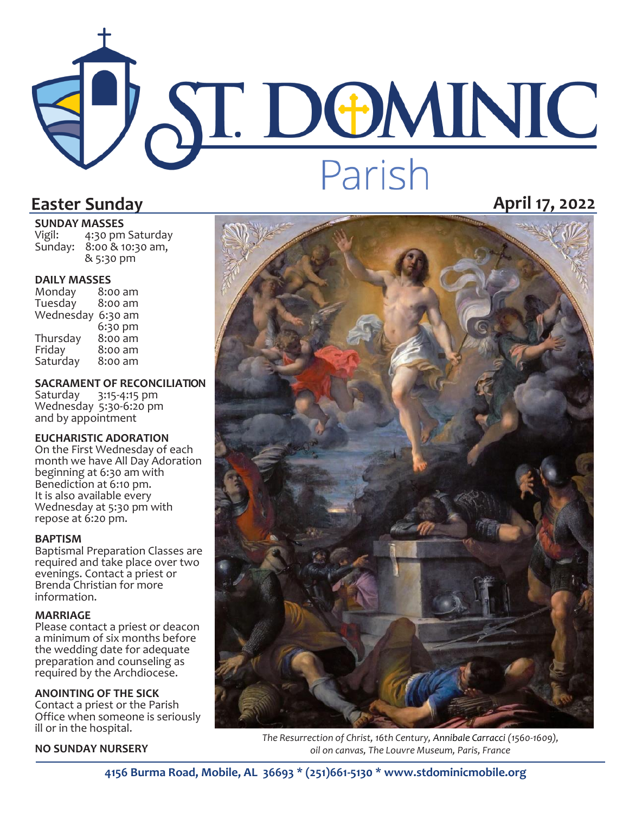# J' ST. DOMINIC Parish **Easter Sunday April 17, 2022**

**SUNDAY MASSES**<br>Vigil: 4:30 pm 4:30 pm Saturday Sunday: 8:00 & 10:30 am,

& 5:30 pm

**DAILY MASSES**  Monday 8:00 am Tuesday Wednesday 6:30 am 6:30 pm<br>8:00 am Thursday<br>Friday  $8:00$  am<br> $8:00$  am Saturday

#### **SACRAMENT OF RECONCILIATION**

Saturday 3:15-4:15 pm Wednesday 5:30-6:20 pm and by appointment

#### **EUCHARISTIC ADORATION**

On the First Wednesday of each month we have All Day Adoration beginning at 6:30 am with Benediction at 6:10 pm. It is also available every Wednesday at 5:30 pm with repose at 6:20 pm.

#### **BAPTISM**

Baptismal Preparation Classes are required and take place over two evenings. Contact a priest or Brenda Christian for more information.

#### **MARRIAGE**

Please contact a priest or deacon a minimum of six months before the wedding date for adequate preparation and counseling as required by the Archdiocese.

#### **ANOINTING OF THE SICK**

Contact a priest or the Parish Office when someone is seriously ill or in the hospital.

#### **NO SUNDAY NURSERY**



*The Resurrection of Christ, 16th Century, [Annibale Carracci](https://en.wikipedia.org/wiki/en:Annibale_Carracci) (1560-1609), oil on canvas, The Louvre Museum, Paris, France*

**4156 Burma Road, Mobile, AL 36693 \* (251)661-5130 \* www.stdominicmobile.org**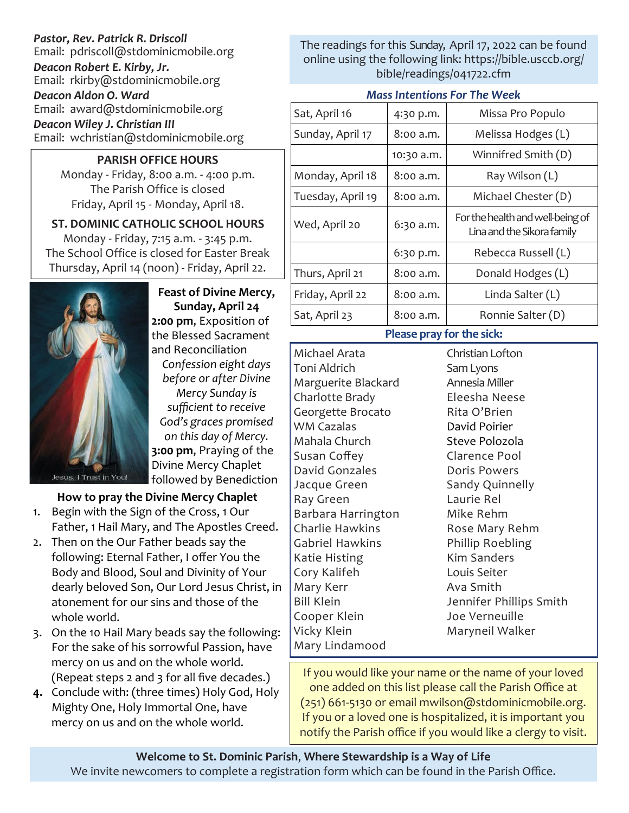### *Pastor, Rev. Patrick R. Driscoll* Email: pdriscoll@stdominicmobile.org *Deacon Robert E. Kirby, Jr.* Email: rkirby@stdominicmobile.org *Deacon Aldon O. Ward* Email: award@stdominicmobile.org *Deacon Wiley J. Christian III*

Email: wchristian@stdominicmobile.org

#### **PARISH OFFICE HOURS**

Monday - Friday, 8:00 a.m. - 4:00 p.m. The Parish Office is closed Friday, April 15 - Monday, April 18.

#### **ST. DOMINIC CATHOLIC SCHOOL HOURS**  Monday - Friday, 7:15 a.m. - 3:45 p.m. The School Office is closed for Easter Break Thursday, April 14 (noon) - Friday, April 22.



**Feast of Divine Mercy, Sunday, April 24 2:00 pm**, Exposition of the Blessed Sacrament and Reconciliation

*Confession eight days before or after Divine* 

*Mercy Sunday is sufficient to receive God's graces promised on this day of Mercy.* **3:00 pm**, Praying of the Divine Mercy Chaplet followed by Benediction

## **How to pray the Divine Mercy Chaplet**

- 1. Begin with the Sign of the Cross, 1 Our Father, 1 Hail Mary, and The Apostles Creed.
- 2. Then on the Our Father beads say the following: Eternal Father, I offer You the Body and Blood, Soul and Divinity of Your dearly beloved Son, Our Lord Jesus Christ, in atonement for our sins and those of the whole world.
- 3. On the 10 Hail Mary beads say the following: For the sake of his sorrowful Passion, have mercy on us and on the whole world. (Repeat steps 2 and 3 for all five decades.)
- **4.** Conclude with: (three times) Holy God, Holy Mighty One, Holy Immortal One, have mercy on us and on the whole world.

The readings for this Sunday, April 17, 2022 can be found online using the following link: https://bible.usccb.org/ bible/readings/041722.cfm

#### *Mass Intentions For The Week*

| Sat, April 16     | 4:30 p.m.  | Missa Pro Populo                                               |
|-------------------|------------|----------------------------------------------------------------|
| Sunday, April 17  | 8:00 a.m.  | Melissa Hodges (L)                                             |
|                   | 10:30 a.m. | Winnifred Smith (D)                                            |
| Monday, April 18  | 8:00 a.m.  | Ray Wilson (L)                                                 |
| Tuesday, April 19 | 8:00 a.m.  | Michael Chester (D)                                            |
| Wed, April 20     | 6:30 a.m.  | For the health and well-being of<br>Lina and the Sikora family |
|                   | 6:30 p.m.  | Rebecca Russell (L)                                            |
| Thurs, April 21   | 8:00 a.m.  | Donald Hodges (L)                                              |
| Friday, April 22  | 8:00 a.m.  | Linda Salter $(L)$                                             |
| Sat, April 23     | 8:00 a.m.  | Ronnie Salter (D)                                              |

#### **Please pray for the sick:**

Michael Arata Toni Aldrich Marguerite Blackard Charlotte Brady Georgette Brocato WM Cazalas Mahala Church Susan Coffey David Gonzales Jacque Green Ray Green Barbara Harrington Charlie Hawkins Gabriel Hawkins Katie Histing Cory Kalifeh Mary Kerr Bill Klein Cooper Klein Vicky Klein Mary Lindamood

Christian Lofton Sam Lyons Annesia Miller Eleesha Neese Rita O'Brien David Poirier Steve Polozola Clarence Pool Doris Powers Sandy Quinnelly Laurie Rel Mike Rehm Rose Mary Rehm Phillip Roebling Kim Sanders Louis Seiter Ava Smith Jennifer Phillips Smith Joe Verneuille Maryneil Walker

If you would like your name or the name of your loved one added on this list please call the Parish Office at (251) 661-5130 or email mwilson@stdominicmobile.org. If you or a loved one is hospitalized, it is important you notify the Parish office if you would like a clergy to visit.